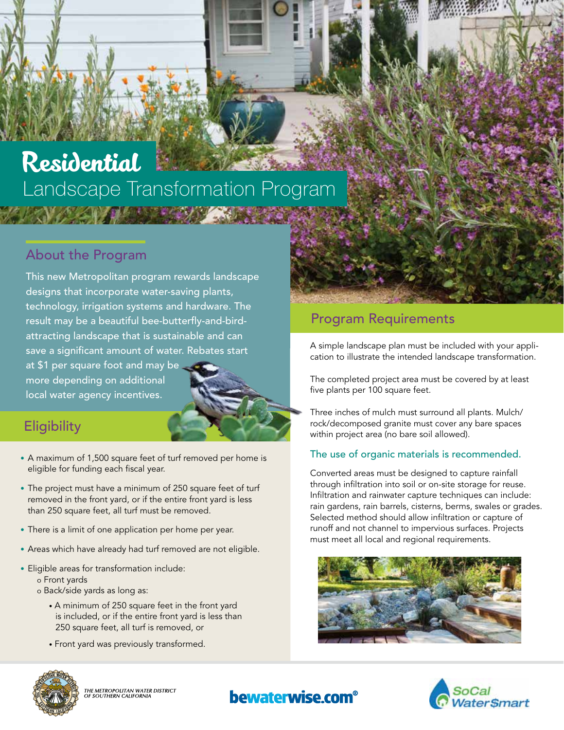# Residential Landscape Transformation Program

#### About the Program

This new Metropolitan program rewards landscape designs that incorporate water-saving plants, technology, irrigation systems and hardware. The result may be a beautiful bee-butterfly-and-birdattracting landscape that is sustainable and can save a significant amount of water. Rebates start at \$1 per square foot and may be more depending on additional local water agency incentives.

### **Eligibility**

- A maximum of 1,500 square feet of turf removed per home is eligible for funding each fiscal year.
- The project must have a minimum of 250 square feet of turf removed in the front yard, or if the entire front yard is less than 250 square feet, all turf must be removed.
- There is a limit of one application per home per year.
- Areas which have already had turf removed are not eligible.
- Eligible areas for transformation include: o Front yards
	- o Back/side yards as long as:
		- A minimum of 250 square feet in the front yard is included, or if the entire front yard is less than 250 square feet, all turf is removed, or
		- Front yard was previously transformed.

#### Program Requirements

A simple landscape plan must be included with your application to illustrate the intended landscape transformation.

The completed project area must be covered by at least five plants per 100 square feet.

Three inches of mulch must surround all plants. Mulch/ rock/decomposed granite must cover any bare spaces within project area (no bare soil allowed).

#### The use of organic materials is recommended.

Converted areas must be designed to capture rainfall through infiltration into soil or on-site storage for reuse. Infiltration and rainwater capture techniques can include: rain gardens, rain barrels, cisterns, berms, swales or grades. Selected method should allow infiltration or capture of runoff and not channel to impervious surfaces. Projects must meet all local and regional requirements.







THE METROPOLITAN WATER DISTRICT<br>OF SOUTHERN CALIFORNIA

#### **bewaterwise.com**<sup>®</sup>